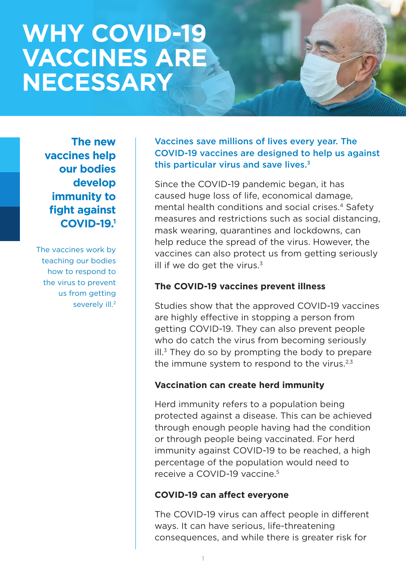# **WHY COVID-19 VACCINES ARE NECESSARY**

**The new vaccines help our bodies develop immunity to fight against COVID-19.1**

The vaccines work by teaching our bodies how to respond to the virus to prevent us from getting severely ill.<sup>2</sup> Vaccines save millions of lives every year. The COVID-19 vaccines are designed to help us against this particular virus and save lives. $3$ 

Since the COVID-19 pandemic began, it has caused huge loss of life, economical damage, mental health conditions and social crises.<sup>4</sup> Safety measures and restrictions such as social distancing, mask wearing, quarantines and lockdowns, can help reduce the spread of the virus. However, the vaccines can also protect us from getting seriously ill if we do get the virus. $3$ 

#### **The COVID-19 vaccines prevent illness**

Studies show that the approved COVID-19 vaccines are highly effective in stopping a person from getting COVID-19. They can also prevent people who do catch the virus from becoming seriously  $\mathsf{ill}^3$  They do so by prompting the body to prepare the immune system to respond to the virus. $2,3$ 

## **Vaccination can create herd immunity**

Herd immunity refers to a population being protected against a disease. This can be achieved through enough people having had the condition or through people being vaccinated. For herd immunity against COVID-19 to be reached, a high percentage of the population would need to receive a COVID-19 vaccine.<sup>5</sup>

## **COVID-19 can affect everyone**

The COVID-19 virus can affect people in different ways. It can have serious, life-threatening consequences, and while there is greater risk for